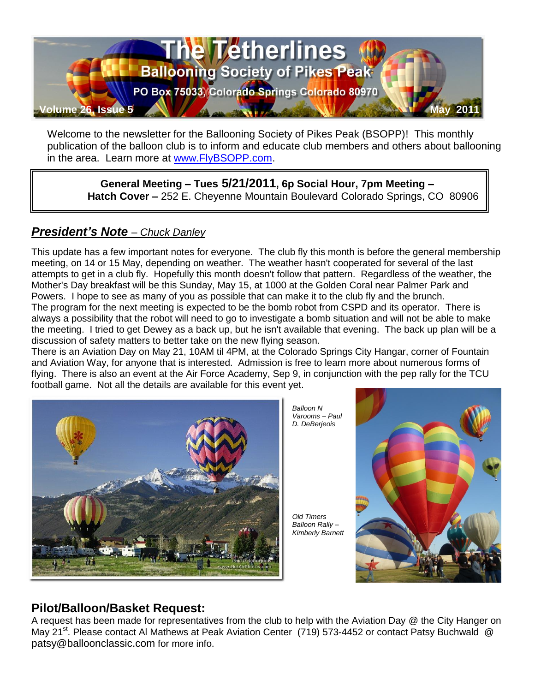

Welcome to the newsletter for the Ballooning Society of Pikes Peak (BSOPP)! This monthly publication of the balloon club is to inform and educate club members and others about ballooning in the area. Learn more at [www.FlyBSOPP.com.](http://www.flybsopp.com/)

**General Meeting – Tues 5/21/2011, 6p Social Hour, 7pm Meeting – Hatch Cover –** 252 E. Cheyenne Mountain Boulevard Colorado Springs, CO 80906

#### *President's Note – Chuck Danley*

This update has a few important notes for everyone. The club fly this month is before the general membership meeting, on 14 or 15 May, depending on weather. The weather hasn't cooperated for several of the last attempts to get in a club fly. Hopefully this month doesn't follow that pattern. Regardless of the weather, the Mother's Day breakfast will be this Sunday, May 15, at 1000 at the Golden Coral near Palmer Park and Powers. I hope to see as many of you as possible that can make it to the club fly and the brunch. The program for the next meeting is expected to be the bomb robot from CSPD and its operator. There is always a possibility that the robot will need to go to investigate a bomb situation and will not be able to make the meeting. I tried to get Dewey as a back up, but he isn't available that evening. The back up plan will be a discussion of safety matters to better take on the new flying season.

There is an Aviation Day on May 21, 10AM til 4PM, at the Colorado Springs City Hangar, corner of Fountain and Aviation Way, for anyone that is interested. Admission is free to learn more about numerous forms of flying. There is also an event at the Air Force Academy, Sep 9, in conjunction with the pep rally for the TCU football game. Not all the details are available for this event yet.





*Old Timers Balloon Rally – Kimberly Barnett*



#### **Pilot/Balloon/Basket Request:**

A request has been made for representatives from the club to help with the Aviation Day @ the City Hanger on May 21<sup>st</sup>. Please contact Al Mathews at Peak Aviation Center [\(719\) 573-4452](tel:%28719%29%20573-4452) or contact Patsy Buchwald @ patsy@balloonclassic.com for more info.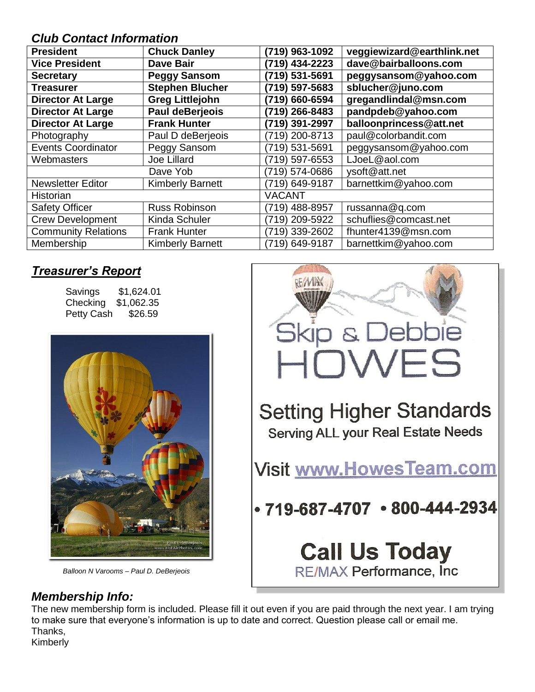#### *Club Contact Information*

| <b>President</b>           | <b>Chuck Danley</b>     | (719) 963-1092 | veggiewizard@earthlink.net |
|----------------------------|-------------------------|----------------|----------------------------|
| <b>Vice President</b>      | <b>Dave Bair</b>        | (719) 434-2223 | dave@bairballoons.com      |
| <b>Secretary</b>           | <b>Peggy Sansom</b>     | (719) 531-5691 | peggysansom@yahoo.com      |
| <b>Treasurer</b>           | <b>Stephen Blucher</b>  | (719) 597-5683 | sblucher@juno.com          |
| <b>Director At Large</b>   | <b>Greg Littlejohn</b>  | (719) 660-6594 | gregandlindal@msn.com      |
| <b>Director At Large</b>   | <b>Paul deBerjeois</b>  | 719) 266-8483  | pandpdeb@yahoo.com         |
| <b>Director At Large</b>   | <b>Frank Hunter</b>     | (719) 391-2997 | balloonprincess@att.net    |
| Photography                | Paul D deBerjeois       | (719) 200-8713 | paul@colorbandit.com       |
| <b>Events Coordinator</b>  | Peggy Sansom            | (719) 531-5691 | peggysansom@yahoo.com      |
| Webmasters                 | Joe Lillard             | (719) 597-6553 | LJoeL@aol.com              |
|                            | Dave Yob                | (719) 574-0686 | ysoft@att.net              |
| <b>Newsletter Editor</b>   | <b>Kimberly Barnett</b> | (719) 649-9187 | barnettkim@yahoo.com       |
| Historian                  |                         | <b>VACANT</b>  |                            |
| <b>Safety Officer</b>      | <b>Russ Robinson</b>    | (719) 488-8957 | russanna@q.com             |
| <b>Crew Development</b>    | Kinda Schuler           | (719) 209-5922 | schuflies@comcast.net      |
| <b>Community Relations</b> | <b>Frank Hunter</b>     | (719) 339-2602 | fhunter4139@msn.com        |
| Membership                 | <b>Kimberly Barnett</b> | (719) 649-9187 | barnettkim@yahoo.com       |

## *Treasurer's Report*

| Savings    | \$1,624.01 |
|------------|------------|
| Checking   | \$1,062.35 |
| Petty Cash | \$26.59    |



*Balloon N Varooms – Paul D. DeBerjeois*



#### *Membership Info:*

The new membership form is included. Please fill it out even if you are paid through the next year. I am trying to make sure that everyone's information is up to date and correct. Question please call or email me. Thanks,

Kimberly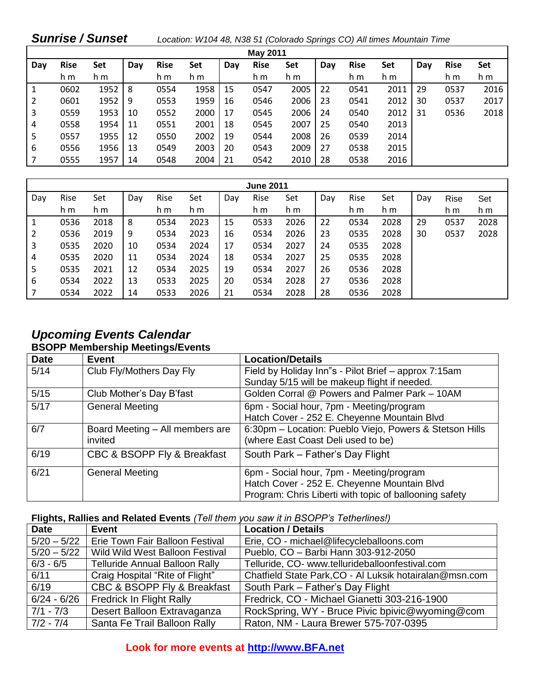| <b>Sunrise / Sunset</b> |             |      |     |             |      |     |             | Location: W104 48, N38 51 (Colorado Springs CO) All times Mountain Time |     |             |      |     |             |      |
|-------------------------|-------------|------|-----|-------------|------|-----|-------------|-------------------------------------------------------------------------|-----|-------------|------|-----|-------------|------|
| <b>May 2011</b>         |             |      |     |             |      |     |             |                                                                         |     |             |      |     |             |      |
| Day                     | <b>Rise</b> | Set  | Day | <b>Rise</b> | Set  | Day | <b>Rise</b> | Set                                                                     | Day | <b>Rise</b> | Set  | Day | <b>Rise</b> | Set  |
|                         | h m         | h m  |     | h m         | h m  |     | h m         | h m                                                                     |     | h m         | h m  |     | h m         | h m  |
| 1                       | 0602        | 1952 | 8   | 0554        | 1958 | 15  | 0547        | 2005                                                                    | 22  | 0541        | 2011 | 29  | 0537        | 2016 |
| 2                       | 0601        | 1952 | 9   | 0553        | 1959 | 16  | 0546        | 2006                                                                    | 23  | 0541        | 2012 | 30  | 0537        | 2017 |
| 3                       | 0559        | 1953 | 10  | 0552        | 2000 | 17  | 0545        | 2006                                                                    | 24  | 0540        | 2012 | 31  | 0536        | 2018 |
| 4                       | 0558        | 1954 | 11  | 0551        | 2001 | 18  | 0545        | 2007                                                                    | 25  | 0540        | 2013 |     |             |      |
| 5                       | 0557        | 1955 | 12  | 0550        | 2002 | 19  | 0544        | 2008                                                                    | 26  | 0539        | 2014 |     |             |      |
| 6                       | 0556        | 1956 | 13  | 0549        | 2003 | 20  | 0543        | 2009                                                                    | 27  | 0538        | 2015 |     |             |      |
|                         | 0555        | 1957 | 14  | 0548        | 2004 | 21  | 0542        | 2010                                                                    | 28  | 0538        | 2016 |     |             |      |

| <b>June 2011</b> |      |      |     |      |      |     |      |      |     |      |      |     |             |      |
|------------------|------|------|-----|------|------|-----|------|------|-----|------|------|-----|-------------|------|
| Day              | Rise | Set  | Day | Rise | Set  | Day | Rise | Set  | Day | Rise | Set  | Day | <b>Rise</b> | Set  |
|                  | h m  | h m  |     | h m  | h m  |     | h m  | h m  |     | h m  | h m  |     | h m         | h m  |
| 1                | 0536 | 2018 | 8   | 0534 | 2023 | 15  | 0533 | 2026 | 22  | 0534 | 2028 | 29  | 0537        | 2028 |
| 2                | 0536 | 2019 | 9   | 0534 | 2023 | 16  | 0534 | 2026 | 23  | 0535 | 2028 | 30  | 0537        | 2028 |
| 3                | 0535 | 2020 | 10  | 0534 | 2024 | 17  | 0534 | 2027 | 24  | 0535 | 2028 |     |             |      |
| 4                | 0535 | 2020 | 11  | 0534 | 2024 | 18  | 0534 | 2027 | 25  | 0535 | 2028 |     |             |      |
| 5                | 0535 | 2021 | 12  | 0534 | 2025 | 19  | 0534 | 2027 | 26  | 0536 | 2028 |     |             |      |
| 6                | 0534 | 2022 | 13  | 0533 | 2025 | 20  | 0534 | 2028 | 27  | 0536 | 2028 |     |             |      |
|                  | 0534 | 2022 | 14  | 0533 | 2026 | 21  | 0534 | 2028 | 28  | 0536 | 2028 |     |             |      |

#### *Upcoming Events Calendar*  **BSOPP Membership Meetings/Events**

| <b>Date</b> | <b>Event</b>                    | <b>Location/Details</b>                                 |
|-------------|---------------------------------|---------------------------------------------------------|
| 5/14        | Club Fly/Mothers Day Fly        | Field by Holiday Inn"s - Pilot Brief - approx 7:15am    |
|             |                                 | Sunday 5/15 will be makeup flight if needed.            |
| 5/15        | Club Mother's Day B'fast        | Golden Corral @ Powers and Palmer Park - 10AM           |
| $5/17$      | <b>General Meeting</b>          | 6pm - Social hour, 7pm - Meeting/program                |
|             |                                 | Hatch Cover - 252 E. Cheyenne Mountain Blvd             |
| 6/7         | Board Meeting - All members are | 6:30pm - Location: Pueblo Viejo, Powers & Stetson Hills |
|             | invited                         | (where East Coast Deli used to be)                      |
| 6/19        | CBC & BSOPP Fly & Breakfast     | South Park - Father's Day Flight                        |
| 6/21        | <b>General Meeting</b>          | 6pm - Social hour, 7pm - Meeting/program                |
|             |                                 | Hatch Cover - 252 E. Cheyenne Mountain Blvd             |
|             |                                 | Program: Chris Liberti with topic of ballooning safety  |

#### **Flights, Rallies and Related Events** *(Tell them you saw it in BSOPP's Tetherlines!)*

| <b>Date</b>   | <b>Event</b>                          | <b>Location / Details</b>                               |
|---------------|---------------------------------------|---------------------------------------------------------|
| $5/20 - 5/22$ | Erie Town Fair Balloon Festival       | Erie, CO - michael@lifecycleballoons.com                |
| $5/20 - 5/22$ | Wild Wild West Balloon Festival       | Pueblo, CO - Barbi Hann 303-912-2050                    |
| $6/3 - 6/5$   | <b>Telluride Annual Balloon Rally</b> | Telluride, CO- www.tellurideballoonfestival.com         |
| 6/11          | Craig Hospital "Rite of Flight"       | Chatfield State Park, CO - Al Luksik hotairalan@msn.com |
| 6/19          | CBC & BSOPP Fly & Breakfast           | South Park - Father's Day Flight                        |
| $6/24 - 6/26$ | <b>Fredrick In Flight Rally</b>       | Fredrick, CO - Michael Gianetti 303-216-1900            |
| $7/1 - 7/3$   | Desert Balloon Extravaganza           | RockSpring, WY - Bruce Pivic bpivic@wyoming@com         |
| $ 7/2 - 7/4 $ | Santa Fe Trail Balloon Rally          | Raton, NM - Laura Brewer 575-707-0395                   |

**Look for more events at [http://www.BFA.net](http://www.bfa.net/)**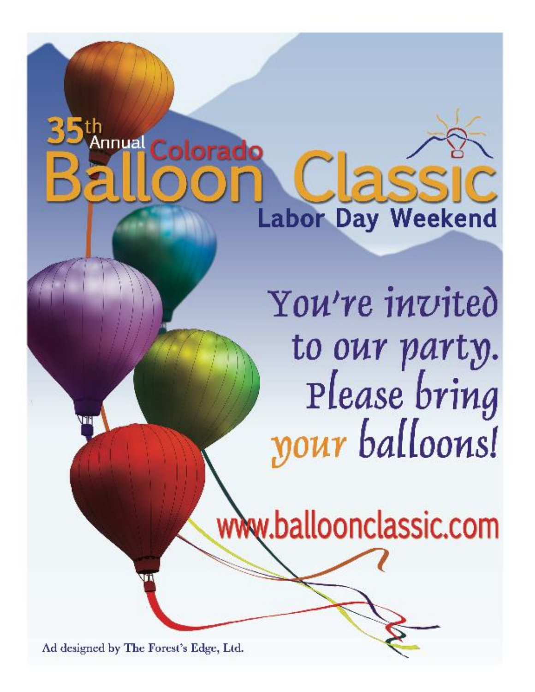# **Annual Colorado** assi **Labor Day Weekend**

You're invited to our party. Please bring your balloons!

www.balloonclassic.com

Ad designed by The Forest's Edge, Ltd.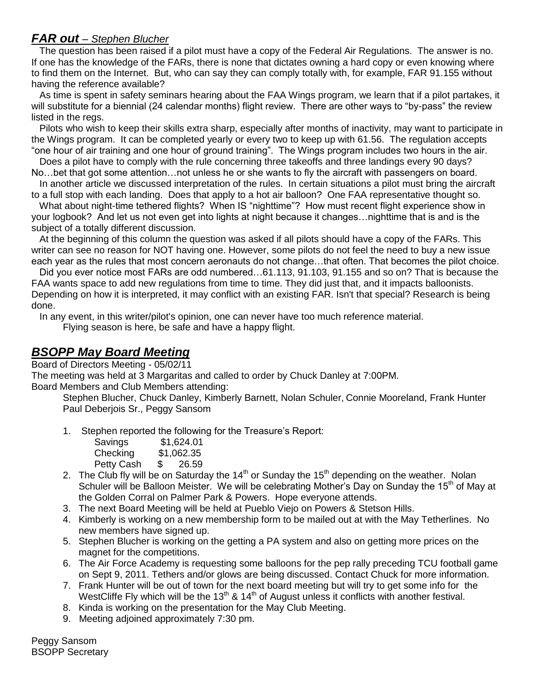#### *FAR out – Stephen Blucher*

 The question has been raised if a pilot must have a copy of the Federal Air Regulations. The answer is no. If one has the knowledge of the FARs, there is none that dictates owning a hard copy or even knowing where to find them on the Internet. But, who can say they can comply totally with, for example, FAR 91.155 without having the reference available?

 As time is spent in safety seminars hearing about the FAA Wings program, we learn that if a pilot partakes, it will substitute for a biennial (24 calendar months) flight review. There are other ways to "by-pass" the review listed in the regs.

 Pilots who wish to keep their skills extra sharp, especially after months of inactivity, may want to participate in the Wings program. It can be completed yearly or every two to keep up with 61.56. The regulation accepts "one hour of air training and one hour of ground training". The Wings program includes two hours in the air.

 Does a pilot have to comply with the rule concerning three takeoffs and three landings every 90 days? No…bet that got some attention…not unless he or she wants to fly the aircraft with passengers on board.

 In another article we discussed interpretation of the rules. In certain situations a pilot must bring the aircraft to a full stop with each landing. Does that apply to a hot air balloon? One FAA representative thought so.

 What about night-time tethered flights? When IS "nighttime"? How must recent flight experience show in your logbook? And let us not even get into lights at night because it changes…nighttime that is and is the subject of a totally different discussion.

 At the beginning of this column the question was asked if all pilots should have a copy of the FARs. This writer can see no reason for NOT having one. However, some pilots do not feel the need to buy a new issue each year as the rules that most concern aeronauts do not change…that often. That becomes the pilot choice.

 Did you ever notice most FARs are odd numbered…61.113, 91.103, 91.155 and so on? That is because the FAA wants space to add new regulations from time to time. They did just that, and it impacts balloonists. Depending on how it is interpreted, it may conflict with an existing FAR. Isn't that special? Research is being done.

In any event, in this writer/pilot's opinion, one can never have too much reference material.

Flying season is here, be safe and have a happy flight.

#### *BSOPP May Board Meeting*

Board of Directors Meeting - 05/02/11

The meeting was held at 3 Margaritas and called to order by Chuck Danley at 7:00PM. Board Members and Club Members attending:

Stephen Blucher, Chuck Danley, Kimberly Barnett, Nolan Schuler, Connie Mooreland, Frank Hunter Paul Deberjois Sr., Peggy Sansom

1. Stephen reported the following for the Treasure's Report:

| Savings    |               | \$1,624.01 |
|------------|---------------|------------|
| Checking   |               | \$1,062.35 |
| Petty Cash | $\mathcal{S}$ | 26.59      |

- 2. The Club fly will be on Saturday the  $14<sup>th</sup>$  or Sunday the  $15<sup>th</sup>$  depending on the weather. Nolan Schuler will be Balloon Meister. We will be celebrating Mother's Day on Sunday the 15<sup>th</sup> of May at the Golden Corral on Palmer Park & Powers. Hope everyone attends.
- 3. The next Board Meeting will be held at Pueblo Viejo on Powers & Stetson Hills.
- 4. Kimberly is working on a new membership form to be mailed out at with the May Tetherlines. No new members have signed up.
- 5. Stephen Blucher is working on the getting a PA system and also on getting more prices on the magnet for the competitions.
- 6. The Air Force Academy is requesting some balloons for the pep rally preceding TCU football game on Sept 9, 2011. Tethers and/or glows are being discussed. Contact Chuck for more information.
- 7. Frank Hunter will be out of town for the next board meeting but will try to get some info for the WestCliffe Fly which will be the 13<sup>th</sup> & 14<sup>th</sup> of August unless it conflicts with another festival.
- 8. Kinda is working on the presentation for the May Club Meeting.
- 9. Meeting adjoined approximately 7:30 pm.

Peggy Sansom BSOPP Secretary